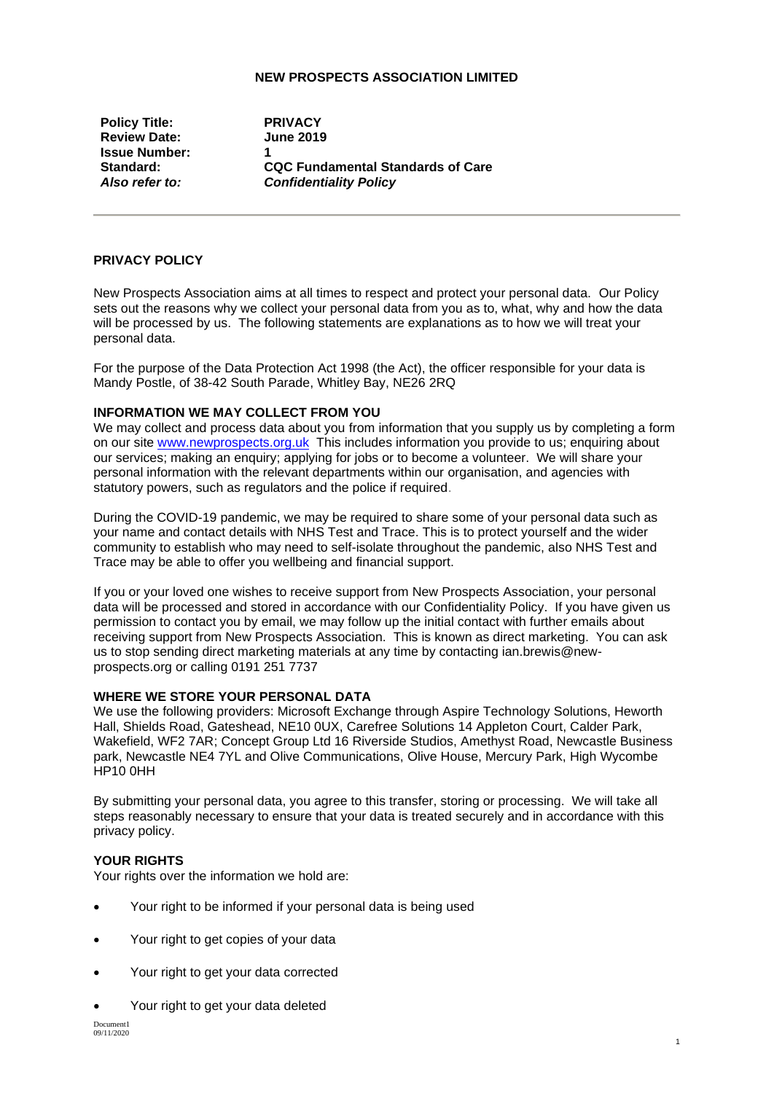## **NEW PROSPECTS ASSOCIATION LIMITED**

**Policy Title: PRIVACY Review Date: Issue Number:** 1<br>Standard: 0

**Standard: CQC Fundamental Standards of Care** *Also refer to: Confidentiality Policy*

# **PRIVACY POLICY**

New Prospects Association aims at all times to respect and protect your personal data. Our Policy sets out the reasons why we collect your personal data from you as to, what, why and how the data will be processed by us. The following statements are explanations as to how we will treat your personal data.

For the purpose of the Data Protection Act 1998 (the Act), the officer responsible for your data is Mandy Postle, of 38-42 South Parade, Whitley Bay, NE26 2RQ

#### **INFORMATION WE MAY COLLECT FROM YOU**

We may collect and process data about you from information that you supply us by completing a form on our site www.newprospects.org.uk This includes information you provide to us; enquiring about our services; making an enquiry; applying for jobs or to become a volunteer. We will share your personal information with the relevant departments within our organisation, and agencies with statutory powers, such as regulators and the police if required.

During the COVID-19 pandemic, we may be required to share some of your personal data such as your name and contact details with NHS Test and Trace. This is to protect yourself and the wider community to establish who may need to self-isolate throughout the pandemic, also NHS Test and Trace may be able to offer you wellbeing and financial support.

If you or your loved one wishes to receive support from New Prospects Association, your personal data will be processed and stored in accordance with our Confidentiality Policy. If you have given us permission to contact you by email, we may follow up the initial contact with further emails about receiving support from New Prospects Association. This is known as direct marketing. You can ask us to stop sending direct marketing materials at any time by contacting ian.brewis@newprospects.org or calling 0191 251 7737

#### **WHERE WE STORE YOUR PERSONAL DATA**

We use the following providers: Microsoft Exchange through Aspire Technology Solutions, Heworth Hall, Shields Road, Gateshead, NE10 0UX, Carefree Solutions 14 Appleton Court, Calder Park, Wakefield, WF2 7AR; Concept Group Ltd 16 Riverside Studios, Amethyst Road, Newcastle Business park, Newcastle NE4 7YL and Olive Communications, Olive House, Mercury Park, High Wycombe HP10 0HH

By submitting your personal data, you agree to this transfer, storing or processing. We will take all steps reasonably necessary to ensure that your data is treated securely and in accordance with this privacy policy.

### **YOUR RIGHTS**

Your rights over the information we hold are:

- [Your right to be informed if your personal data is being used](https://ico.org.uk/your-data-matters/your-right-to-be-informed-if-your-personal-data-is-being-used/)
- [Your right to get copies of your data](https://ico.org.uk/your-data-matters/your-right-of-access/)
- [Your right to get your data corrected](https://ico.org.uk/your-data-matters/your-right-to-get-your-data-corrected/)
- [Your right to get your data deleted](https://ico.org.uk/your-data-matters/your-right-to-get-your-data-deleted/)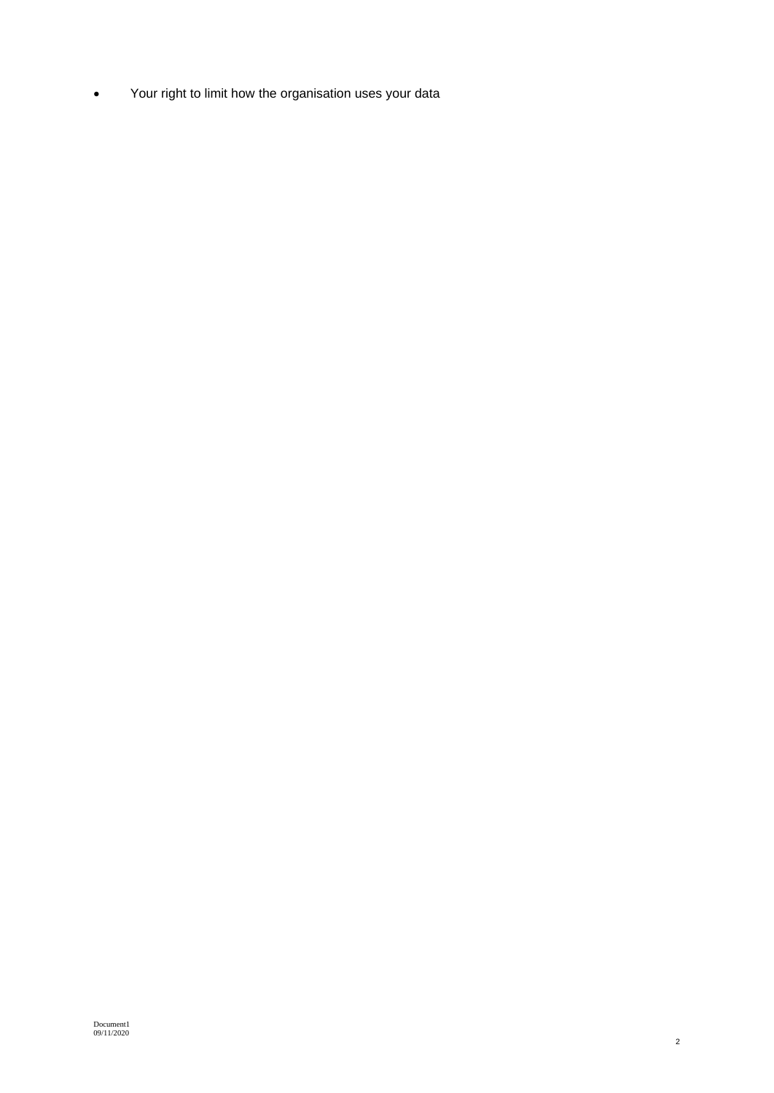• Your right to limit how the organisation uses your data